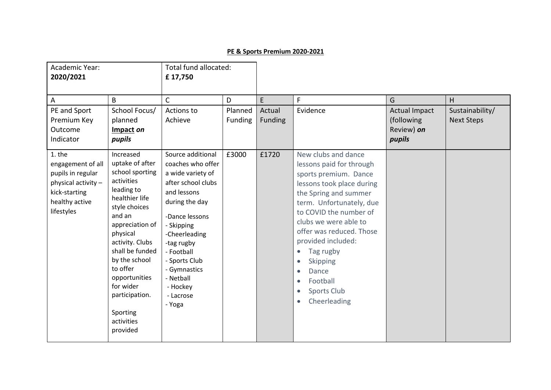## **PE & Sports Premium 2020-2021**

| Academic Year:<br>2020/2021                                                                                              |                                                                                                                                                                                                                                                                                                                  | Total fund allocated:<br>£17,750                                                                                                                                                                                                                                                 |                    |                   |                                                                                                                                                                                                                                                                                                                                                                                                                                          |                                                             |                                      |
|--------------------------------------------------------------------------------------------------------------------------|------------------------------------------------------------------------------------------------------------------------------------------------------------------------------------------------------------------------------------------------------------------------------------------------------------------|----------------------------------------------------------------------------------------------------------------------------------------------------------------------------------------------------------------------------------------------------------------------------------|--------------------|-------------------|------------------------------------------------------------------------------------------------------------------------------------------------------------------------------------------------------------------------------------------------------------------------------------------------------------------------------------------------------------------------------------------------------------------------------------------|-------------------------------------------------------------|--------------------------------------|
| A                                                                                                                        | B                                                                                                                                                                                                                                                                                                                | $\mathsf{C}$                                                                                                                                                                                                                                                                     | D                  | E                 | F                                                                                                                                                                                                                                                                                                                                                                                                                                        | G                                                           | H                                    |
| PE and Sport<br>Premium Key<br>Outcome<br>Indicator                                                                      | School Focus/<br>planned<br>Impact on<br>pupils                                                                                                                                                                                                                                                                  | Actions to<br>Achieve                                                                                                                                                                                                                                                            | Planned<br>Funding | Actual<br>Funding | Evidence                                                                                                                                                                                                                                                                                                                                                                                                                                 | <b>Actual Impact</b><br>(following)<br>Review) on<br>pupils | Sustainability/<br><b>Next Steps</b> |
| 1. the<br>engagement of all<br>pupils in regular<br>physical activity -<br>kick-starting<br>healthy active<br>lifestyles | Increased<br>uptake of after<br>school sporting<br>activities<br>leading to<br>healthier life<br>style choices<br>and an<br>appreciation of<br>physical<br>activity. Clubs<br>shall be funded<br>by the school<br>to offer<br>opportunities<br>for wider<br>participation.<br>Sporting<br>activities<br>provided | Source additional<br>coaches who offer<br>a wide variety of<br>after school clubs<br>and lessons<br>during the day<br>-Dance lessons<br>- Skipping<br>-Cheerleading<br>-tag rugby<br>- Football<br>- Sports Club<br>- Gymnastics<br>- Netball<br>- Hockey<br>- Lacrose<br>- Yoga | £3000              | £1720             | New clubs and dance<br>lessons paid for through<br>sports premium. Dance<br>lessons took place during<br>the Spring and summer<br>term. Unfortunately, due<br>to COVID the number of<br>clubs we were able to<br>offer was reduced. Those<br>provided included:<br>Tag rugby<br>$\bullet$<br><b>Skipping</b><br>$\bullet$<br>Dance<br>$\bullet$<br>Football<br>$\bullet$<br><b>Sports Club</b><br>$\bullet$<br>Cheerleading<br>$\bullet$ |                                                             |                                      |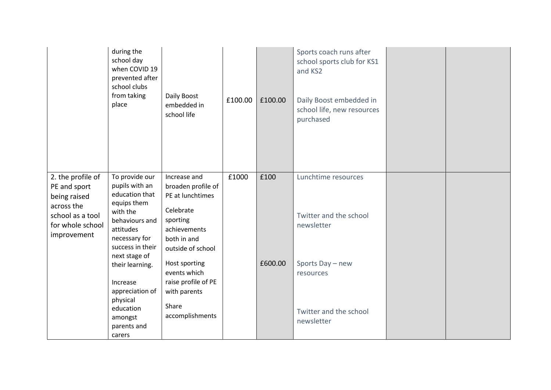|                                                                                   | during the<br>school day<br>when COVID 19<br>prevented after<br>school clubs<br>from taking<br>place          | Daily Boost<br>embedded in<br>school life                                                 | £100.00 | £100.00 | Sports coach runs after<br>school sports club for KS1<br>and KS2<br>Daily Boost embedded in<br>school life, new resources<br>purchased |  |
|-----------------------------------------------------------------------------------|---------------------------------------------------------------------------------------------------------------|-------------------------------------------------------------------------------------------|---------|---------|----------------------------------------------------------------------------------------------------------------------------------------|--|
| 2. the profile of<br>PE and sport                                                 | To provide our<br>pupils with an                                                                              | Increase and<br>broaden profile of                                                        | £1000   | £100    | Lunchtime resources                                                                                                                    |  |
| being raised<br>across the<br>school as a tool<br>for whole school<br>improvement | education that<br>equips them<br>with the<br>behaviours and<br>attitudes<br>necessary for<br>success in their | PE at lunchtimes<br>Celebrate<br>sporting<br>achievements<br>both in and                  |         |         | Twitter and the school<br>newsletter                                                                                                   |  |
|                                                                                   | next stage of<br>their learning.<br>Increase<br>appreciation of                                               | outside of school<br>Host sporting<br>events which<br>raise profile of PE<br>with parents |         | £600.00 | Sports Day - new<br>resources                                                                                                          |  |
|                                                                                   | physical<br>education<br>amongst<br>parents and<br>carers                                                     | Share<br>accomplishments                                                                  |         |         | Twitter and the school<br>newsletter                                                                                                   |  |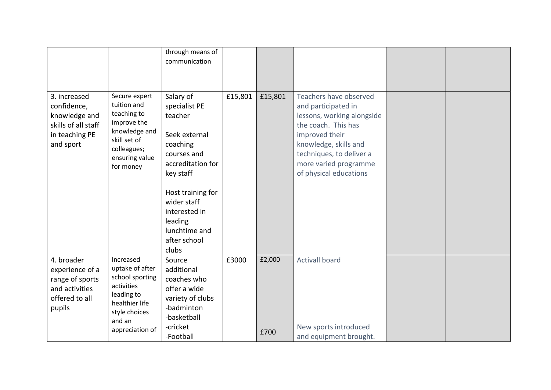|                                                                                                    |                                                                                                                                             | through means of<br>communication                                                                                                                                                                                             |         |                |                                                                                                                                                                                                                              |  |
|----------------------------------------------------------------------------------------------------|---------------------------------------------------------------------------------------------------------------------------------------------|-------------------------------------------------------------------------------------------------------------------------------------------------------------------------------------------------------------------------------|---------|----------------|------------------------------------------------------------------------------------------------------------------------------------------------------------------------------------------------------------------------------|--|
| 3. increased<br>confidence,<br>knowledge and<br>skills of all staff<br>in teaching PE<br>and sport | Secure expert<br>tuition and<br>teaching to<br>improve the<br>knowledge and<br>skill set of<br>colleagues;<br>ensuring value<br>for money   | Salary of<br>specialist PE<br>teacher<br>Seek external<br>coaching<br>courses and<br>accreditation for<br>key staff<br>Host training for<br>wider staff<br>interested in<br>leading<br>lunchtime and<br>after school<br>clubs | £15,801 | £15,801        | Teachers have observed<br>and participated in<br>lessons, working alongside<br>the coach. This has<br>improved their<br>knowledge, skills and<br>techniques, to deliver a<br>more varied programme<br>of physical educations |  |
| 4. broader<br>experience of a<br>range of sports<br>and activities<br>offered to all<br>pupils     | Increased<br>uptake of after<br>school sporting<br>activities<br>leading to<br>healthier life<br>style choices<br>and an<br>appreciation of | Source<br>additional<br>coaches who<br>offer a wide<br>variety of clubs<br>-badminton<br>-basketball<br>-cricket<br>-Football                                                                                                 | £3000   | £2,000<br>£700 | <b>Activall board</b><br>New sports introduced<br>and equipment brought.                                                                                                                                                     |  |